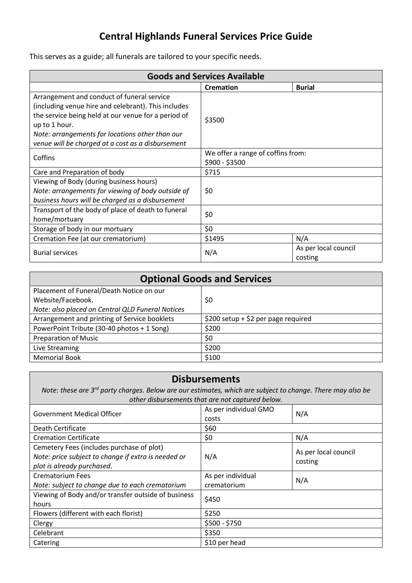## **Central Highlands Funeral Services Price Guide**

This serves as a guide; all funerals are tailored to your specific needs.

| <b>Goods and Services Available</b>                 |                                   |                                 |  |
|-----------------------------------------------------|-----------------------------------|---------------------------------|--|
|                                                     | <b>Cremation</b>                  | <b>Burial</b>                   |  |
| Arrangement and conduct of funeral service          | \$3500                            |                                 |  |
| (including venue hire and celebrant). This includes |                                   |                                 |  |
| the service being held at our venue for a period of |                                   |                                 |  |
| up to 1 hour.                                       |                                   |                                 |  |
| Note: arrangements for locations other than our     |                                   |                                 |  |
| venue will be charged at a cost as a disbursement   |                                   |                                 |  |
| Coffins                                             | We offer a range of coffins from: |                                 |  |
|                                                     | \$900 - \$3500                    |                                 |  |
| Care and Preparation of body                        | \$715                             |                                 |  |
| Viewing of Body (during business hours)             |                                   |                                 |  |
| Note: arrangements for viewing of body outside of   | \$0                               |                                 |  |
| business hours will be charged as a disbursement    |                                   |                                 |  |
| Transport of the body of place of death to funeral  | \$0                               |                                 |  |
| home/mortuary                                       |                                   |                                 |  |
| Storage of body in our mortuary                     | \$0                               |                                 |  |
| Cremation Fee (at our crematorium)                  | \$1495                            | N/A                             |  |
| <b>Burial services</b>                              | N/A                               | As per local council<br>costing |  |

| <b>Optional Goods and Services</b>               |                                     |  |  |
|--------------------------------------------------|-------------------------------------|--|--|
| Placement of Funeral/Death Notice on our         |                                     |  |  |
| Website/Facebook.                                | \$0                                 |  |  |
| Note: also placed on Central QLD Funeral Notices |                                     |  |  |
| Arrangement and printing of Service booklets     | \$200 setup + \$2 per page required |  |  |
| PowerPoint Tribute (30-40 photos + 1 Song)       | \$200                               |  |  |
| <b>Preparation of Music</b>                      | \$0                                 |  |  |
| Live Streaming                                   | \$200                               |  |  |
| <b>Memorial Book</b>                             | \$100                               |  |  |

## **Disbursements**

*Note: these are 3rd party charges. Below are our estimates, which are subject to change. There may also be other disbursements that are not captured below.* 

| <b>Government Medical Officer</b>                                                                                              | As per individual GMO<br>costs | N/A                             |
|--------------------------------------------------------------------------------------------------------------------------------|--------------------------------|---------------------------------|
| Death Certificate                                                                                                              | \$60                           |                                 |
| <b>Cremation Certificate</b>                                                                                                   | \$0                            | N/A                             |
| Cemetery Fees (includes purchase of plot)<br>Note: price subject to change if extra is needed or<br>plot is already purchased. | N/A                            | As per local council<br>costing |
| <b>Crematorium Fees</b>                                                                                                        | As per individual              | N/A                             |
| Note: subject to change due to each crematorium                                                                                | crematorium                    |                                 |
| Viewing of Body and/or transfer outside of business<br>hours                                                                   | \$450                          |                                 |
| Flowers (different with each florist)                                                                                          | \$250                          |                                 |
| Clergy                                                                                                                         | $$500 - $750$                  |                                 |
| Celebrant                                                                                                                      | \$350                          |                                 |
| Catering                                                                                                                       | \$10 per head                  |                                 |